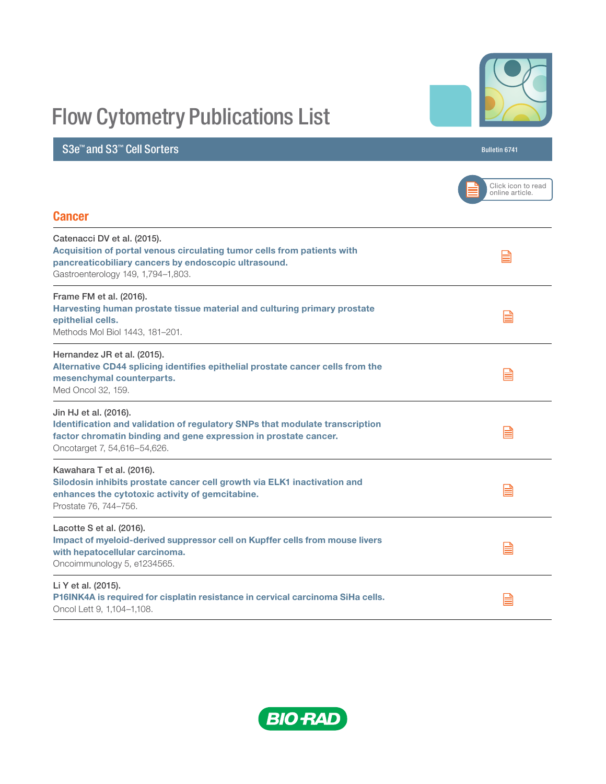# Flow Cytometry Publications List

## S3e™ and S3™ Cell Sorters Bulletin 6741

|                                                                                                                                                                                                           | Click icon to read<br>online article. |
|-----------------------------------------------------------------------------------------------------------------------------------------------------------------------------------------------------------|---------------------------------------|
| <b>Cancer</b>                                                                                                                                                                                             |                                       |
| Catenacci DV et al. (2015).<br>Acquisition of portal venous circulating tumor cells from patients with<br>pancreaticobiliary cancers by endoscopic ultrasound.<br>Gastroenterology 149, 1,794-1,803.      | ≣                                     |
| Frame FM et al. (2016).<br>Harvesting human prostate tissue material and culturing primary prostate<br>epithelial cells.<br>Methods Mol Biol 1443, 181-201.                                               | E                                     |
| Hernandez JR et al. (2015).<br>Alternative CD44 splicing identifies epithelial prostate cancer cells from the<br>mesenchymal counterparts.<br>Med Oncol 32, 159.                                          | ≣                                     |
| Jin HJ et al. (2016).<br>Identification and validation of regulatory SNPs that modulate transcription<br>factor chromatin binding and gene expression in prostate cancer.<br>Oncotarget 7, 54,616-54,626. | ≣                                     |
| Kawahara T et al. (2016).<br>Silodosin inhibits prostate cancer cell growth via ELK1 inactivation and<br>enhances the cytotoxic activity of gemcitabine.<br>Prostate 76, 744-756.                         | ≧                                     |
| Lacotte S et al. (2016).<br>Impact of myeloid-derived suppressor cell on Kupffer cells from mouse livers<br>with hepatocellular carcinoma.<br>Oncoimmunology 5, e1234565.                                 | ≣                                     |
| Li Y et al. (2015).<br>P16INK4A is required for cisplatin resistance in cervical carcinoma SiHa cells.<br>Oncol Lett 9, 1,104-1,108.                                                                      | ≣                                     |



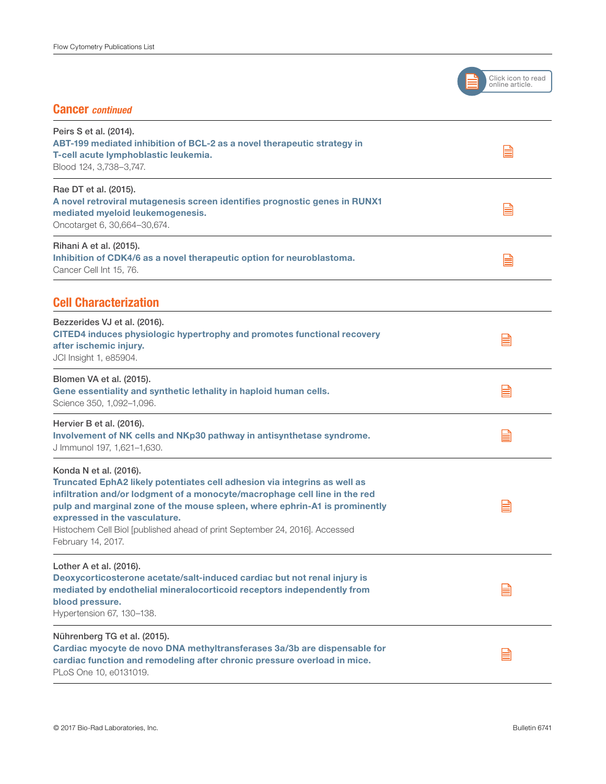

#### Cancer *continued*

| Peirs S et al. (2014).<br>ABT-199 mediated inhibition of BCL-2 as a novel therapeutic strategy in<br>T-cell acute lymphoblastic leukemia.<br>Blood 124, 3,738-3,747.                                                                                                                                                                                                                                  | e |
|-------------------------------------------------------------------------------------------------------------------------------------------------------------------------------------------------------------------------------------------------------------------------------------------------------------------------------------------------------------------------------------------------------|---|
| Rae DT et al. (2015).<br>A novel retroviral mutagenesis screen identifies prognostic genes in RUNX1<br>mediated myeloid leukemogenesis.<br>Oncotarget 6, 30,664-30,674.                                                                                                                                                                                                                               | e |
| Rihani A et al. (2015).<br>Inhibition of CDK4/6 as a novel therapeutic option for neuroblastoma.<br>Cancer Cell Int 15, 76.                                                                                                                                                                                                                                                                           | e |
| <b>Cell Characterization</b>                                                                                                                                                                                                                                                                                                                                                                          |   |
| Bezzerides VJ et al. (2016).<br>CITED4 induces physiologic hypertrophy and promotes functional recovery<br>after ischemic injury.<br>JCI Insight 1, e85904.                                                                                                                                                                                                                                           | E |
| Blomen VA et al. (2015).<br>Gene essentiality and synthetic lethality in haploid human cells.<br>Science 350, 1,092-1,096.                                                                                                                                                                                                                                                                            | E |
| Hervier B et al. (2016).<br>Involvement of NK cells and NKp30 pathway in antisynthetase syndrome.<br>J Immunol 197, 1,621-1,630.                                                                                                                                                                                                                                                                      | E |
| Konda N et al. (2016).<br>Truncated EphA2 likely potentiates cell adhesion via integrins as well as<br>infiltration and/or lodgment of a monocyte/macrophage cell line in the red<br>pulp and marginal zone of the mouse spleen, where ephrin-A1 is prominently<br>expressed in the vasculature.<br>Histochem Cell Biol [published ahead of print September 24, 2016]. Accessed<br>February 14, 2017. | ⊫ |
| Lother A et al. (2016).<br>Deoxycorticosterone acetate/salt-induced cardiac but not renal injury is<br>mediated by endothelial mineralocorticoid receptors independently from<br>blood pressure.<br>Hypertension 67, 130-138.                                                                                                                                                                         | ▤ |
| Nührenberg TG et al. (2015).<br>Cardiac myocyte de novo DNA methyltransferases 3a/3b are dispensable for<br>cardiac function and remodeling after chronic pressure overload in mice.<br>PLoS One 10, e0131019.                                                                                                                                                                                        | E |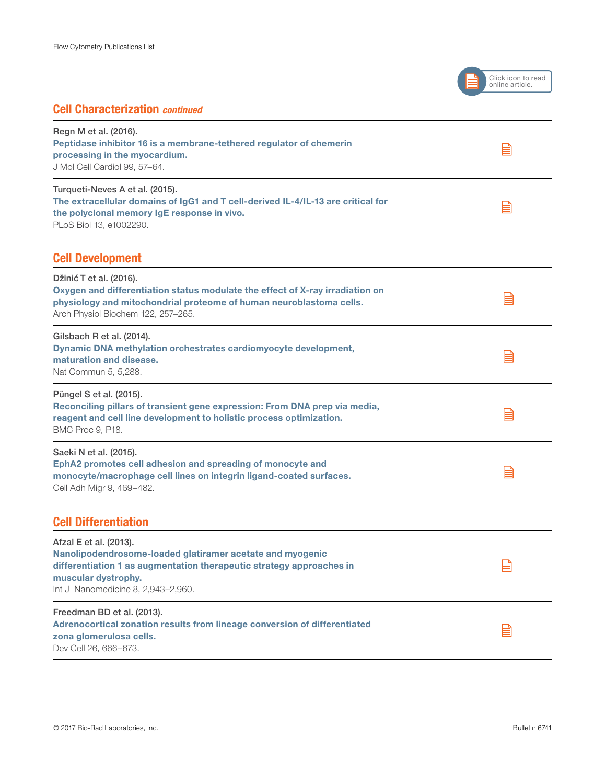

#### Cell Characterization *continued*

| Regn M et al. (2016).<br>Peptidase inhibitor 16 is a membrane-tethered regulator of chemerin<br>processing in the myocardium.<br>J Mol Cell Cardiol 99, 57-64.                                                           |   |
|--------------------------------------------------------------------------------------------------------------------------------------------------------------------------------------------------------------------------|---|
| Turqueti-Neves A et al. (2015).<br>The extracellular domains of IgG1 and T cell-derived IL-4/IL-13 are critical for<br>the polyclonal memory IgE response in vivo.<br>PLoS Biol 13, e1002290.                            | ≣ |
| <b>Cell Development</b>                                                                                                                                                                                                  |   |
| Džinić T et al. (2016).<br>Oxygen and differentiation status modulate the effect of X-ray irradiation on<br>physiology and mitochondrial proteome of human neuroblastoma cells.<br>Arch Physiol Biochem 122, 257-265.    | ≣ |
| Gilsbach R et al. (2014).<br>Dynamic DNA methylation orchestrates cardiomyocyte development,<br>maturation and disease.<br>Nat Commun 5, 5,288.                                                                          | ≣ |
| Püngel S et al. (2015).<br>Reconciling pillars of transient gene expression: From DNA prep via media,<br>reagent and cell line development to holistic process optimization.<br>BMC Proc 9, P18.                         | ≣ |
| Saeki N et al. (2015).<br>EphA2 promotes cell adhesion and spreading of monocyte and<br>monocyte/macrophage cell lines on integrin ligand-coated surfaces.<br>Cell Adh Migr 9, 469-482.                                  | ≣ |
| <b>Cell Differentiation</b>                                                                                                                                                                                              |   |
| Afzal E et al. (2013).<br>Nanolipodendrosome-loaded glatiramer acetate and myogenic<br>differentiation 1 as augmentation therapeutic strategy approaches in<br>muscular dystrophy.<br>Int J Nanomedicine 8, 2,943-2,960. | ⊡ |
| Freedman BD et al. (2013).<br>Adrenocortical zonation results from lineage conversion of differentiated<br>zona glomerulosa cells.<br>Dev Cell 26, 666-673.                                                              | ⊫ |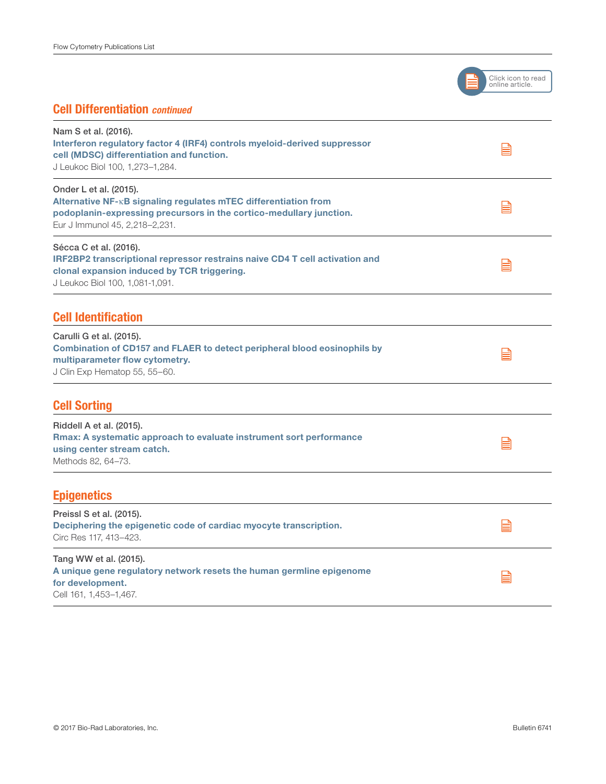

#### Cell Differentiation *continued*

| Nam S et al. (2016).<br>Interferon regulatory factor 4 (IRF4) controls myeloid-derived suppressor<br>cell (MDSC) differentiation and function.<br>J Leukoc Biol 100, 1,273-1,284.                  | E |
|----------------------------------------------------------------------------------------------------------------------------------------------------------------------------------------------------|---|
| Onder L et al. (2015).<br>Alternative NF-KB signaling regulates mTEC differentiation from<br>podoplanin-expressing precursors in the cortico-medullary junction.<br>Eur J Immunol 45, 2,218-2,231. | E |
| Sécca C et al. (2016).<br>IRF2BP2 transcriptional repressor restrains naive CD4 T cell activation and<br>clonal expansion induced by TCR triggering.<br>J Leukoc Biol 100, 1,081-1,091.            | E |
| <b>Cell Identification</b>                                                                                                                                                                         |   |
| Carulli G et al. (2015).<br>Combination of CD157 and FLAER to detect peripheral blood eosinophils by<br>multiparameter flow cytometry.<br>J Clin Exp Hematop 55, 55-60.                            | B |
| <b>Cell Sorting</b>                                                                                                                                                                                |   |
| Riddell A et al. (2015).<br>Rmax: A systematic approach to evaluate instrument sort performance<br>using center stream catch.<br>Methods 82, 64-73.                                                | E |
| <b>Epigenetics</b>                                                                                                                                                                                 |   |
| Preissl S et al. (2015).<br>Deciphering the epigenetic code of cardiac myocyte transcription.<br>Circ Res 117, 413-423.                                                                            | ⊫ |
| Tang WW et al. (2015).<br>A unique gene regulatory network resets the human germline epigenome<br>for development.<br>Cell 161, 1,453-1,467.                                                       | ⊫ |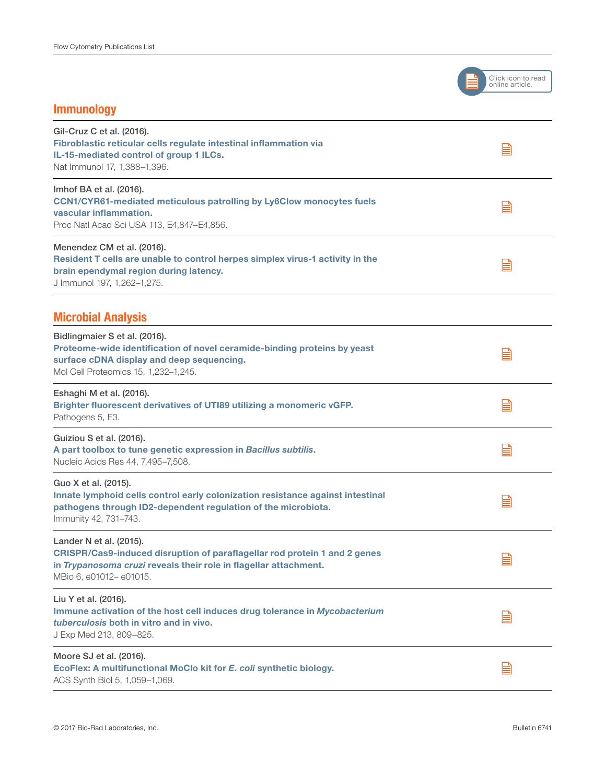

#### Immunology

| Gil-Cruz C et al. (2016).<br>Fibroblastic reticular cells regulate intestinal inflammation via<br>IL-15-mediated control of group 1 ILCs.<br>Nat Immunol 17, 1,388-1,396.                          | E |
|----------------------------------------------------------------------------------------------------------------------------------------------------------------------------------------------------|---|
| Imhof BA et al. (2016).<br>CCN1/CYR61-mediated meticulous patrolling by Ly6Clow monocytes fuels<br>vascular inflammation.<br>Proc Natl Acad Sci USA 113, E4,847–E4,856.                            | B |
| Menendez CM et al. (2016).<br>Resident T cells are unable to control herpes simplex virus-1 activity in the<br>brain ependymal region during latency.<br>J Immunol 197, 1,262-1,275.               | B |
| <b>Microbial Analysis</b>                                                                                                                                                                          |   |
| Bidlingmaier S et al. (2016).<br>Proteome-wide identification of novel ceramide-binding proteins by yeast<br>surface cDNA display and deep sequencing.<br>Mol Cell Proteomics 15, 1,232-1,245.     | E |
| Eshaghi M et al. (2016).<br>Brighter fluorescent derivatives of UTI89 utilizing a monomeric vGFP.<br>Pathogens 5, E3.                                                                              | e |
| Guiziou S et al. (2016).<br>A part toolbox to tune genetic expression in Bacillus subtilis.<br>Nucleic Acids Res 44, 7,495-7,508.                                                                  | e |
| Guo X et al. (2015).<br>Innate lymphoid cells control early colonization resistance against intestinal<br>pathogens through ID2-dependent regulation of the microbiota.<br>Immunity 42, 731-743.   | ▤ |
| Lander N et al. (2015).<br>CRISPR/Cas9-induced disruption of paraflagellar rod protein 1 and 2 genes<br>in Trypanosoma cruzi reveals their role in flagellar attachment.<br>MBio 6, e01012-e01015. | E |
| Liu Y et al. (2016).<br>Immune activation of the host cell induces drug tolerance in Mycobacterium<br>tuberculosis both in vitro and in vivo.<br>J Exp Med 213, 809-825.                           | B |
| Moore SJ et al. (2016).<br>EcoFlex: A multifunctional MoClo kit for E. coli synthetic biology.<br>ACS Synth Biol 5, 1,059-1,069.                                                                   | e |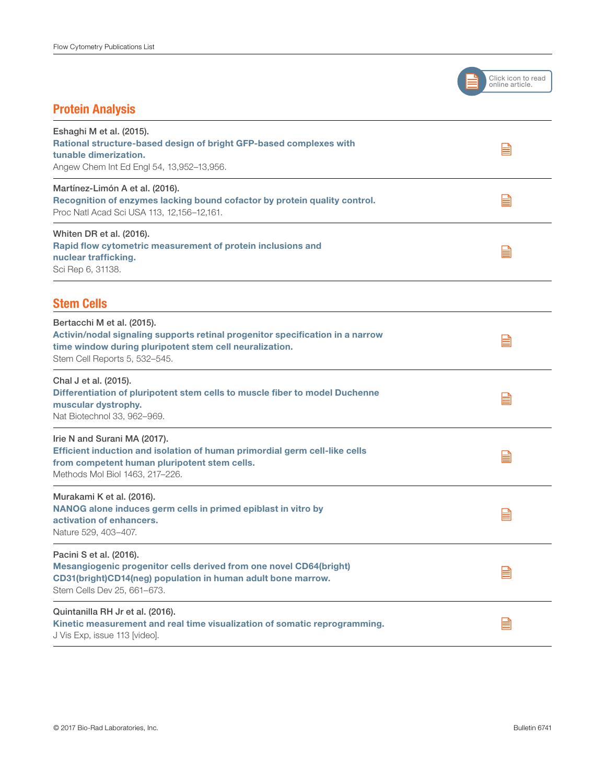

### Protein Analysis

| Eshaghi M et al. (2015).<br>Rational structure-based design of bright GFP-based complexes with<br>tunable dimerization.<br>Angew Chem Int Ed Engl 54, 13,952-13,956.                                    | ⊫ |
|---------------------------------------------------------------------------------------------------------------------------------------------------------------------------------------------------------|---|
| Martínez-Limón A et al. (2016).<br>Recognition of enzymes lacking bound cofactor by protein quality control.<br>Proc Natl Acad Sci USA 113, 12,156-12,161.                                              | e |
| Whiten DR et al. (2016).<br>Rapid flow cytometric measurement of protein inclusions and<br>nuclear trafficking.<br>Sci Rep 6, 31138.                                                                    | ⊫ |
| <b>Stem Cells</b>                                                                                                                                                                                       |   |
| Bertacchi M et al. (2015).<br>Activin/nodal signaling supports retinal progenitor specification in a narrow<br>time window during pluripotent stem cell neuralization.<br>Stem Cell Reports 5, 532-545. | ≣ |
| Chal J et al. (2015).<br>Differentiation of pluripotent stem cells to muscle fiber to model Duchenne<br>muscular dystrophy.<br>Nat Biotechnol 33, 962-969.                                              | ⊫ |
| Irie N and Surani MA (2017).<br>Efficient induction and isolation of human primordial germ cell-like cells<br>from competent human pluripotent stem cells.<br>Methods Mol Biol 1463, 217-226.           | ≣ |
| Murakami K et al. (2016).<br>NANOG alone induces germ cells in primed epiblast in vitro by<br>activation of enhancers.<br>Nature 529, 403-407.                                                          | ≣ |
| Pacini S et al. (2016).<br>Mesangiogenic progenitor cells derived from one novel CD64(bright)<br>CD31(bright)CD14(neg) population in human adult bone marrow.<br>Stem Cells Dev 25, 661-673.            | E |
| Quintanilla RH Jr et al. (2016).<br>Kinetic measurement and real time visualization of somatic reprogramming.<br>J Vis Exp, issue 113 [video].                                                          | E |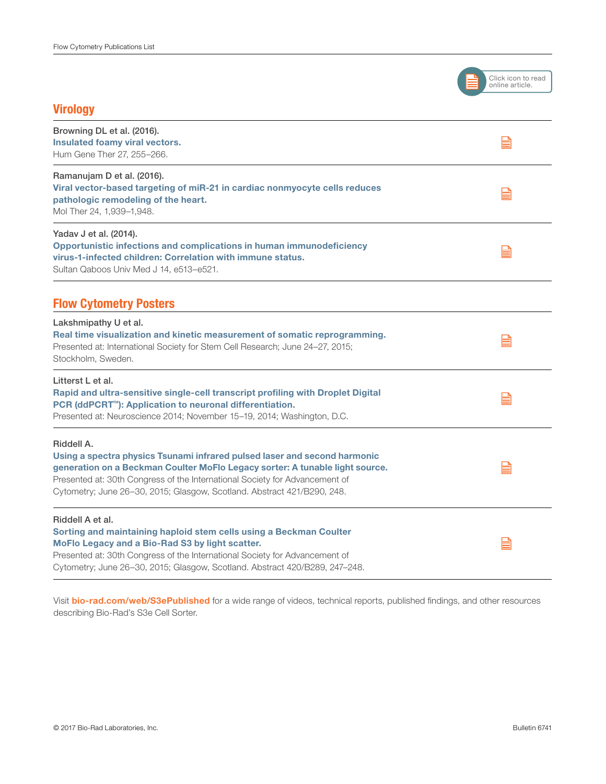

#### **Virology**

| Browning DL et al. (2016).<br>Insulated foamy viral vectors.<br>Hum Gene Ther 27, 255-266.                                                                                                                                                                                                                                        | ≣ |
|-----------------------------------------------------------------------------------------------------------------------------------------------------------------------------------------------------------------------------------------------------------------------------------------------------------------------------------|---|
| Ramanujam D et al. (2016).<br>Viral vector-based targeting of miR-21 in cardiac nonmyocyte cells reduces<br>pathologic remodeling of the heart.<br>Mol Ther 24, 1,939-1,948.                                                                                                                                                      | B |
| Yadav J et al. (2014).<br>Opportunistic infections and complications in human immunodeficiency<br>virus-1-infected children: Correlation with immune status.<br>Sultan Qaboos Univ Med J 14, e513-e521.                                                                                                                           | B |
| <b>Flow Cytometry Posters</b>                                                                                                                                                                                                                                                                                                     |   |
| Lakshmipathy U et al.<br>Real time visualization and kinetic measurement of somatic reprogramming.<br>Presented at: International Society for Stem Cell Research; June 24-27, 2015;<br>Stockholm, Sweden.                                                                                                                         | B |
| Litterst L et al.<br>Rapid and ultra-sensitive single-cell transcript profiling with Droplet Digital<br>PCR (ddPCRT <sup>™</sup> ): Application to neuronal differentiation.<br>Presented at: Neuroscience 2014; November 15-19, 2014; Washington, D.C.                                                                           | B |
| Riddell A.<br>Using a spectra physics Tsunami infrared pulsed laser and second harmonic<br>generation on a Beckman Coulter MoFlo Legacy sorter: A tunable light source.<br>Presented at: 30th Congress of the International Society for Advancement of<br>Cytometry; June 26-30, 2015; Glasgow, Scotland. Abstract 421/B290, 248. | B |
| Riddell A et al.<br>Sorting and maintaining haploid stem cells using a Beckman Coulter<br>MoFlo Legacy and a Bio-Rad S3 by light scatter.<br>Presented at: 30th Congress of the International Society for Advancement of<br>Cytometry; June 26-30, 2015; Glasgow, Scotland. Abstract 420/B289, 247-248.                           | ≣ |

Visit [bio-rad.com/web/S3ePublished](http://www.bio-rad.com/web/S3ePublished) for a wide range of videos, technical reports, published findings, and other resources describing Bio-Rad's S3e Cell Sorter.